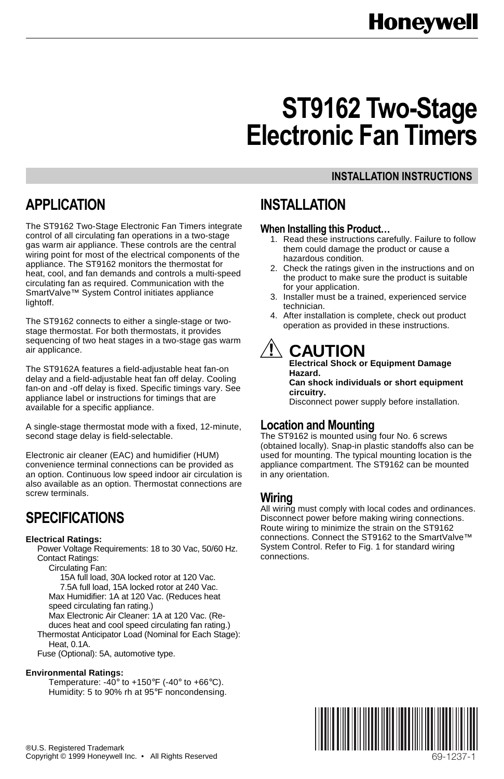# **ST9162 Two-Stage Electronic Fan Timers**

#### **INSTALLATION INSTRUCTIONS**

# **APPLICATION**

The ST9162 Two-Stage Electronic Fan Timers integrate control of all circulating fan operations in a two-stage gas warm air appliance. These controls are the central wiring point for most of the electrical components of the appliance. The ST9162 monitors the thermostat for heat, cool, and fan demands and controls a multi-speed circulating fan as required. Communication with the SmartValve™ System Control initiates appliance lightoff.

The ST9162 connects to either a single-stage or twostage thermostat. For both thermostats, it provides sequencing of two heat stages in a two-stage gas warm air applicance.

The ST9162A features a field-adjustable heat fan-on delay and a field-adjustable heat fan off delay. Cooling fan-on and -off delay is fixed. Specific timings vary. See appliance label or instructions for timings that are available for a specific appliance.

A single-stage thermostat mode with a fixed, 12-minute, second stage delay is field-selectable.

Electronic air cleaner (EAC) and humidifier (HUM) convenience terminal connections can be provided as an option. Continuous low speed indoor air circulation is also available as an option. Thermostat connections are screw terminals.

## **SPECIFICATIONS**

#### **Electrical Ratings:**

Power Voltage Requirements: 18 to 30 Vac, 50/60 Hz. Contact Ratings:

Circulating Fan:

15A full load, 30A locked rotor at 120 Vac. 7.5A full load, 15A locked rotor at 240 Vac. Max Humidifier: 1A at 120 Vac. (Reduces heat speed circulating fan rating.)

Max Electronic Air Cleaner: 1A at 120 Vac. (Reduces heat and cool speed circulating fan rating.) Thermostat Anticipator Load (Nominal for Each Stage):

Heat, 0.1A.

Fuse (Optional): 5A, automotive type.

#### **Environmental Ratings:**

Temperature: -40 $\degree$  to +150 $\degree$ F (-40 $\degree$  to +66 $\degree$ C). Humidity: 5 to 90% rh at 95°F noncondensing.

### **INSTALLATION**

#### **When Installing this Product…**

- 1. Read these instructions carefully. Failure to follow them could damage the product or cause a hazardous condition.
- 2. Check the ratings given in the instructions and on the product to make sure the product is suitable for your application.
- 3. Installer must be a trained, experienced service technician.
- 4. After installation is complete, check out product operation as provided in these instructions.

# **CAUTION**

**Electrical Shock or Equipment Damage Hazard. Can shock individuals or short equipment circuitry.** Disconnect power supply before installation.

#### **Location and Mounting**

The ST9162 is mounted using four No. 6 screws (obtained locally). Snap-in plastic standoffs also can be used for mounting. The typical mounting location is the appliance compartment. The ST9162 can be mounted in any orientation.

#### **Wiring**

All wiring must comply with local codes and ordinances. Disconnect power before making wiring connections. Route wiring to minimize the strain on the ST9162 connections. Connect the ST9162 to the SmartValve™ System Control. Refer to Fig. 1 for standard wiring connections.

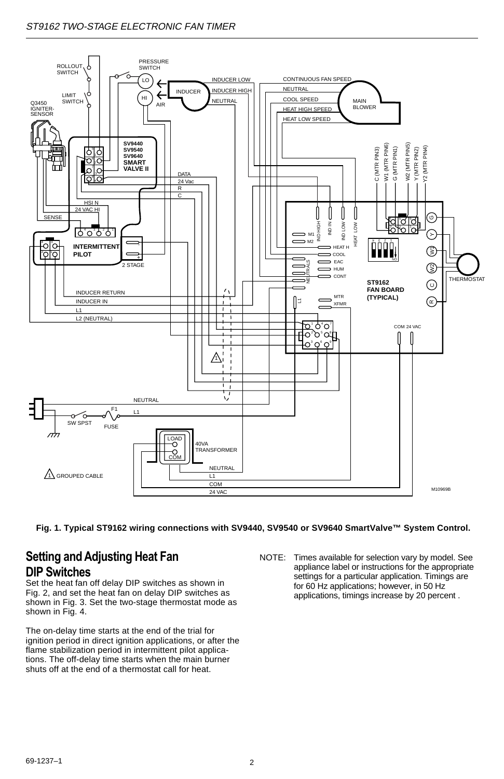#### ST9162 TWO-STAGE ELECTRONIC FAN TIMER



**Fig. 1. Typical ST9162 wiring connections with SV9440, SV9540 or SV9640 SmartValve™ System Control.**

#### **Setting and Adjusting Heat Fan DIP Switches**

Set the heat fan off delay DIP switches as shown in Fig. 2, and set the heat fan on delay DIP switches as shown in Fig. 3. Set the two-stage thermostat mode as shown in Fig. 4.

The on-delay time starts at the end of the trial for ignition period in direct ignition applications, or after the flame stabilization period in intermittent pilot applications. The off-delay time starts when the main burner shuts off at the end of a thermostat call for heat.

NOTE: Times available for selection vary by model. See appliance label or instructions for the appropriate settings for a particular application. Timings are for 60 Hz applications; however, in 50 Hz applications, timings increase by 20 percent .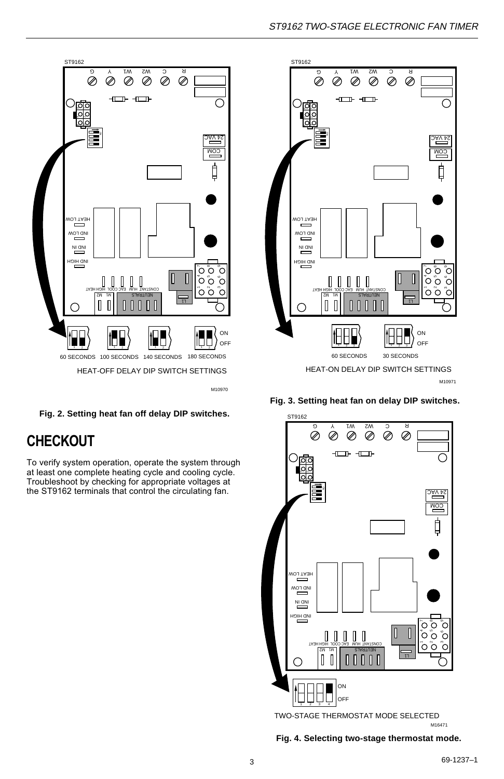

**Fig. 2. Setting heat fan off delay DIP switches.**

# **CHECKOUT**

To verify system operation, operate the system through at least one complete heating cycle and cooling cycle. Troubleshoot by checking for appropriate voltages at the ST9162 terminals that control the circulating fan.



**Fig. 3. Setting heat fan on delay DIP switches.**



M16471 TWO-STAGE THERMOSTAT MODE SELECTED

**Fig. 4. Selecting two-stage thermostat mode.**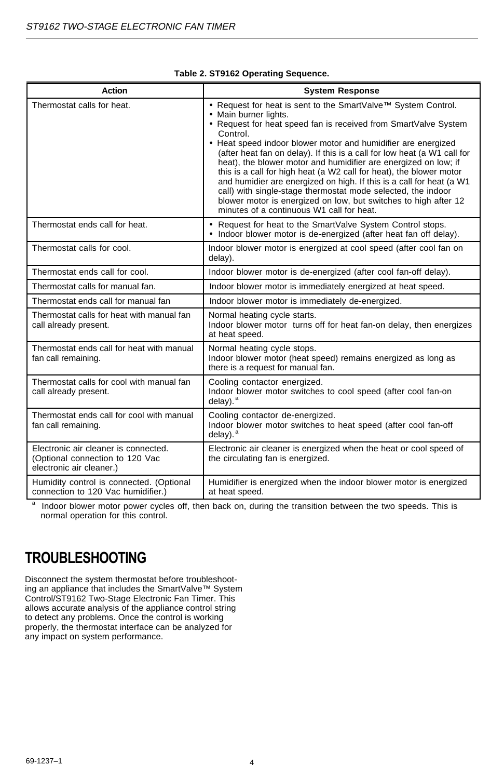| Action                                                                                              | <b>System Response</b>                                                                                                                                                                                                                                                                                                                                                                                                                                                                                                                                                                                                                                                                                               |
|-----------------------------------------------------------------------------------------------------|----------------------------------------------------------------------------------------------------------------------------------------------------------------------------------------------------------------------------------------------------------------------------------------------------------------------------------------------------------------------------------------------------------------------------------------------------------------------------------------------------------------------------------------------------------------------------------------------------------------------------------------------------------------------------------------------------------------------|
| Thermostat calls for heat.                                                                          | . Request for heat is sent to the SmartValve™ System Control.<br>• Main burner lights.<br>• Request for heat speed fan is received from SmartValve System<br>Control.<br>• Heat speed indoor blower motor and humidifier are energized<br>(after heat fan on delay). If this is a call for low heat (a W1 call for<br>heat), the blower motor and humidifier are energized on low; if<br>this is a call for high heat (a W2 call for heat), the blower motor<br>and humidier are energized on high. If this is a call for heat (a W1<br>call) with single-stage thermostat mode selected, the indoor<br>blower motor is energized on low, but switches to high after 12<br>minutes of a continuous W1 call for heat. |
| Thermostat ends call for heat.                                                                      | • Request for heat to the SmartValve System Control stops.<br>• Indoor blower motor is de-energized (after heat fan off delay).                                                                                                                                                                                                                                                                                                                                                                                                                                                                                                                                                                                      |
| Thermostat calls for cool.                                                                          | Indoor blower motor is energized at cool speed (after cool fan on<br>delay).                                                                                                                                                                                                                                                                                                                                                                                                                                                                                                                                                                                                                                         |
| Thermostat ends call for cool.                                                                      | Indoor blower motor is de-energized (after cool fan-off delay).                                                                                                                                                                                                                                                                                                                                                                                                                                                                                                                                                                                                                                                      |
| Thermostat calls for manual fan.                                                                    | Indoor blower motor is immediately energized at heat speed.                                                                                                                                                                                                                                                                                                                                                                                                                                                                                                                                                                                                                                                          |
| Thermostat ends call for manual fan                                                                 | Indoor blower motor is immediately de-energized.                                                                                                                                                                                                                                                                                                                                                                                                                                                                                                                                                                                                                                                                     |
| Thermostat calls for heat with manual fan<br>call already present.                                  | Normal heating cycle starts.<br>Indoor blower motor turns off for heat fan-on delay, then energizes<br>at heat speed.                                                                                                                                                                                                                                                                                                                                                                                                                                                                                                                                                                                                |
| Thermostat ends call for heat with manual<br>fan call remaining.                                    | Normal heating cycle stops.<br>Indoor blower motor (heat speed) remains energized as long as<br>there is a request for manual fan.                                                                                                                                                                                                                                                                                                                                                                                                                                                                                                                                                                                   |
| Thermostat calls for cool with manual fan<br>call already present.                                  | Cooling contactor energized.<br>Indoor blower motor switches to cool speed (after cool fan-on<br>$delay)$ . $a$                                                                                                                                                                                                                                                                                                                                                                                                                                                                                                                                                                                                      |
| Thermostat ends call for cool with manual<br>fan call remaining.                                    | Cooling contactor de-energized.<br>Indoor blower motor switches to heat speed (after cool fan-off<br>$delay)$ . $a$                                                                                                                                                                                                                                                                                                                                                                                                                                                                                                                                                                                                  |
| Electronic air cleaner is connected.<br>(Optional connection to 120 Vac<br>electronic air cleaner.) | Electronic air cleaner is energized when the heat or cool speed of<br>the circulating fan is energized.                                                                                                                                                                                                                                                                                                                                                                                                                                                                                                                                                                                                              |
| Humidity control is connected. (Optional<br>connection to 120 Vac humidifier.)                      | Humidifier is energized when the indoor blower motor is energized<br>at heat speed.                                                                                                                                                                                                                                                                                                                                                                                                                                                                                                                                                                                                                                  |

#### **Table 2. ST9162 Operating Sequence.**

 $\frac{a}{b}$  Indoor blower motor power cycles off, then back on, during the transition between the two speeds. This is normal operation for this control.

# **TROUBLESHOOTING**

Disconnect the system thermostat before troubleshooting an appliance that includes the SmartValve™ System Control/ST9162 Two-Stage Electronic Fan Timer. This allows accurate analysis of the appliance control string to detect any problems. Once the control is working properly, the thermostat interface can be analyzed for any impact on system performance.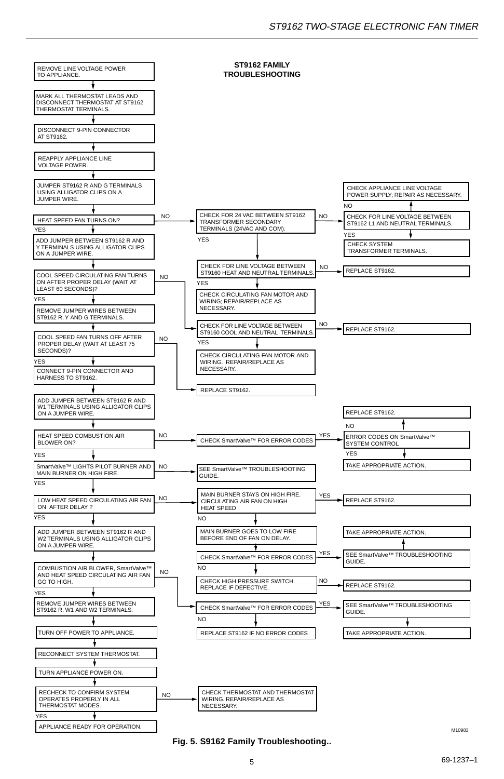

**Fig. 5. S9162 Family Troubleshooting..**